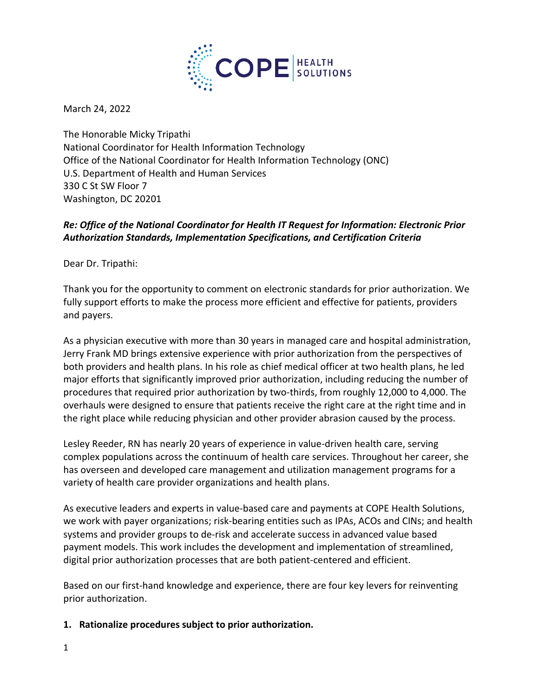

March 24, 2022

The Honorable Micky Tripathi National Coordinator for Health Information Technology Office of the National Coordinator for Health Information Technology (ONC) U.S. Department of Health and Human Services 330 C St SW Floor 7 Washington, DC 20201

# *Re: Office of the National Coordinator for Health IT Request for Information: Electronic Prior Authorization Standards, Implementation Specifications, and Certification Criteria*

Dear Dr. Tripathi:

Thank you for the opportunity to comment on electronic standards for prior authorization. We fully support efforts to make the process more efficient and effective for patients, providers and payers.

As a physician executive with more than 30 years in managed care and hospital administration, Jerry Frank MD brings extensive experience with prior authorization from the perspectives of both providers and health plans. In his role as chief medical officer at two health plans, he led major efforts that significantly improved prior authorization, including reducing the number of procedures that required prior authorization by two-thirds, from roughly 12,000 to 4,000. The overhauls were designed to ensure that patients receive the right care at the right time and in the right place while reducing physician and other provider abrasion caused by the process.

Lesley Reeder, RN has nearly 20 years of experience in value-driven health care, serving complex populations across the continuum of health care services. Throughout her career, she has overseen and developed care management and utilization management programs for a variety of health care provider organizations and health plans.

As executive leaders and experts in value-based care and payments at COPE Health Solutions, we work with payer organizations; risk-bearing entities such as IPAs, ACOs and CINs; and health systems and provider groups to de-risk and accelerate success in advanced value based payment models. This work includes the development and implementation of streamlined, digital prior authorization processes that are both patient-centered and efficient.

Based on our first-hand knowledge and experience, there are four key levers for reinventing prior authorization.

### **1. Rationalize procedures subject to prior authorization.**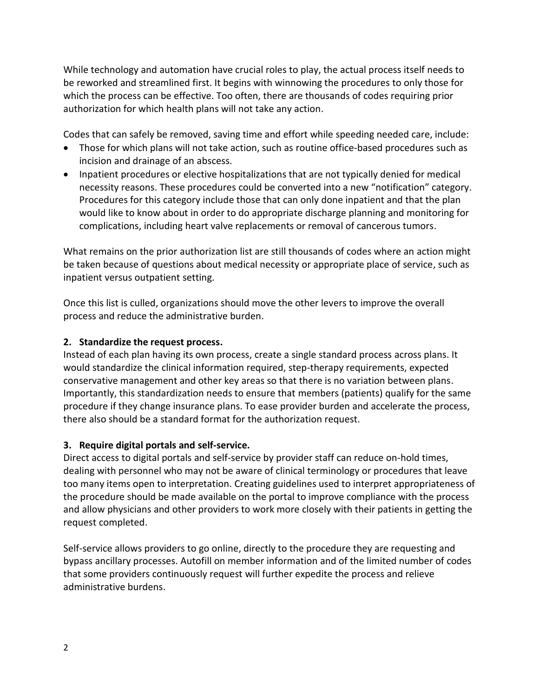While technology and automation have crucial roles to play, the actual process itself needs to be reworked and streamlined first. It begins with winnowing the procedures to only those for which the process can be effective. Too often, there are thousands of codes requiring prior authorization for which health plans will not take any action.

Codes that can safely be removed, saving time and effort while speeding needed care, include:

- Those for which plans will not take action, such as routine office-based procedures such as incision and drainage of an abscess.
- Inpatient procedures or elective hospitalizations that are not typically denied for medical necessity reasons. These procedures could be converted into a new "notification" category. Procedures for this category include those that can only done inpatient and that the plan would like to know about in order to do appropriate discharge planning and monitoring for complications, including heart valve replacements or removal of cancerous tumors.

What remains on the prior authorization list are still thousands of codes where an action might be taken because of questions about medical necessity or appropriate place of service, such as inpatient versus outpatient setting.

Once this list is culled, organizations should move the other levers to improve the overall process and reduce the administrative burden.

## **2. Standardize the request process.**

Instead of each plan having its own process, create a single standard process across plans. It would standardize the clinical information required, step-therapy requirements, expected conservative management and other key areas so that there is no variation between plans. Importantly, this standardization needs to ensure that members (patients) qualify for the same procedure if they change insurance plans. To ease provider burden and accelerate the process, there also should be a standard format for the authorization request.

## **3. Require digital portals and self-service.**

Direct access to digital portals and self-service by provider staff can reduce on-hold times, dealing with personnel who may not be aware of clinical terminology or procedures that leave too many items open to interpretation. Creating guidelines used to interpret appropriateness of the procedure should be made available on the portal to improve compliance with the process and allow physicians and other providers to work more closely with their patients in getting the request completed.

Self-service allows providers to go online, directly to the procedure they are requesting and bypass ancillary processes. Autofill on member information and of the limited number of codes that some providers continuously request will further expedite the process and relieve administrative burdens.